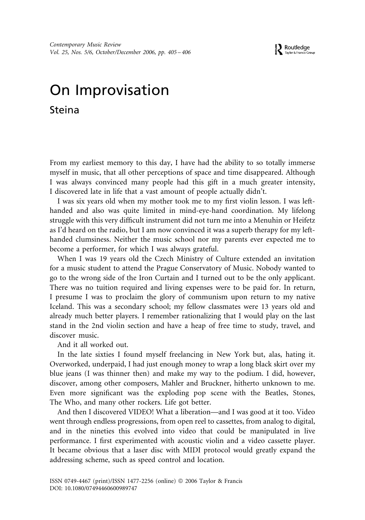## On Improvisation Steina

From my earliest memory to this day, I have had the ability to so totally immerse myself in music, that all other perceptions of space and time disappeared. Although I was always convinced many people had this gift in a much greater intensity, I discovered late in life that a vast amount of people actually didn't.

I was six years old when my mother took me to my first violin lesson. I was lefthanded and also was quite limited in mind-eye-hand coordination. My lifelong struggle with this very difficult instrument did not turn me into a Menuhin or Heifetz as I'd heard on the radio, but I am now convinced it was a superb therapy for my lefthanded clumsiness. Neither the music school nor my parents ever expected me to become a performer, for which I was always grateful.

When I was 19 years old the Czech Ministry of Culture extended an invitation for a music student to attend the Prague Conservatory of Music. Nobody wanted to go to the wrong side of the Iron Curtain and I turned out to be the only applicant. There was no tuition required and living expenses were to be paid for. In return, I presume I was to proclaim the glory of communism upon return to my native Iceland. This was a secondary school; my fellow classmates were 13 years old and already much better players. I remember rationalizing that I would play on the last stand in the 2nd violin section and have a heap of free time to study, travel, and discover music.

And it all worked out.

In the late sixties I found myself freelancing in New York but, alas, hating it. Overworked, underpaid, I had just enough money to wrap a long black skirt over my blue jeans (I was thinner then) and make my way to the podium. I did, however, discover, among other composers, Mahler and Bruckner, hitherto unknown to me. Even more significant was the exploding pop scene with the Beatles, Stones, The Who, and many other rockers. Life got better.

And then I discovered VIDEO! What a liberation—and I was good at it too. Video went through endless progressions, from open reel to cassettes, from analog to digital, and in the nineties this evolved into video that could be manipulated in live performance. I first experimented with acoustic violin and a video cassette player. It became obvious that a laser disc with MIDI protocol would greatly expand the addressing scheme, such as speed control and location.